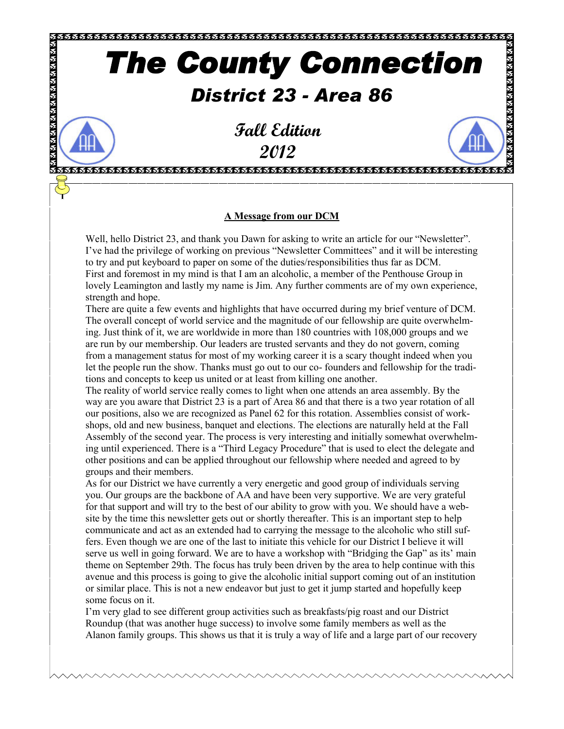# *The County Connection*

## *District 23 - Area 86*

TELETEKTROLOGIA ALARA ALARA ALARA ALARA ALARA ALARA ALARA ALARA ALARA ALARA ALARA ALARA ALARA ALARA ALARA ALA

**x x x x x x x x x x x x x x x x x x x** 

**Fall Edition 2012**

### **A Message from our DCM**

Well, hello District 23, and thank you Dawn for asking to write an article for our "Newsletter". I've had the privilege of working on previous "Newsletter Committees" and it will be interesting to try and put keyboard to paper on some of the duties/responsibilities thus far as DCM. First and foremost in my mind is that I am an alcoholic, a member of the Penthouse Group in lovely Leamington and lastly my name is Jim. Any further comments are of my own experience, strength and hope.

There are quite a few events and highlights that have occurred during my brief venture of DCM. The overall concept of world service and the magnitude of our fellowship are quite overwhelming. Just think of it, we are worldwide in more than 180 countries with 108,000 groups and we are run by our membership. Our leaders are trusted servants and they do not govern, coming from a management status for most of my working career it is a scary thought indeed when you let the people run the show. Thanks must go out to our co- founders and fellowship for the traditions and concepts to keep us united or at least from killing one another.

The reality of world service really comes to light when one attends an area assembly. By the way are you aware that District 23 is a part of Area 86 and that there is a two year rotation of all our positions, also we are recognized as Panel 62 for this rotation. Assemblies consist of workshops, old and new business, banquet and elections. The elections are naturally held at the Fall Assembly of the second year. The process is very interesting and initially somewhat overwhelming until experienced. There is a "Third Legacy Procedure" that is used to elect the delegate and other positions and can be applied throughout our fellowship where needed and agreed to by groups and their members.

As for our District we have currently a very energetic and good group of individuals serving you. Our groups are the backbone of AA and have been very supportive. We are very grateful for that support and will try to the best of our ability to grow with you. We should have a website by the time this newsletter gets out or shortly thereafter. This is an important step to help communicate and act as an extended had to carrying the message to the alcoholic who still suffers. Even though we are one of the last to initiate this vehicle for our District I believe it will serve us well in going forward. We are to have a workshop with "Bridging the Gap" as its' main theme on September 29th. The focus has truly been driven by the area to help continue with this avenue and this process is going to give the alcoholic initial support coming out of an institution or similar place. This is not a new endeavor but just to get it jump started and hopefully keep some focus on it.

I'm very glad to see different group activities such as breakfasts/pig roast and our District Roundup (that was another huge success) to involve some family members as well as the Alanon family groups. This shows us that it is truly a way of life and a large part of our recovery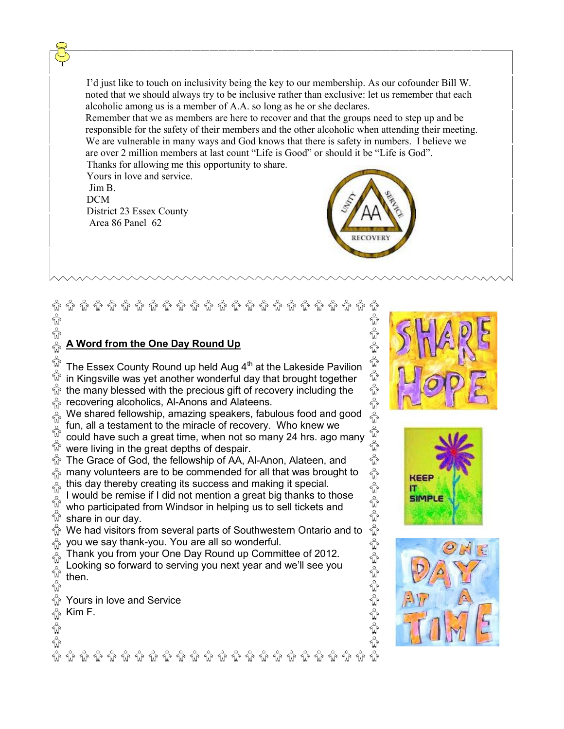I'd just like to touch on inclusivity being the key to our membership. As our cofounder Bill W. noted that we should always try to be inclusive rather than exclusive: let us remember that each alcoholic among us is a member of A.A. so long as he or she declares.

Remember that we as members are here to recover and that the groups need to step up and be responsible for the safety of their members and the other alcoholic when attending their meeting. We are vulnerable in many ways and God knows that there is safety in numbers. I believe we are over 2 million members at last count "Life is Good" or should it be "Life is God". Thanks for allowing me this opportunity to share.

Yours in love and service. Jim B. DCM District 23 Essex County

Area 86 Panel 62



ä

í

ĥ ŵ

## $\hat{w}$   $\hat{w}$   $\hat{w}$   $\hat{w}$   $\hat{w}$   $\hat{w}$   $\hat{w}$   $\hat{w}$   $\hat{w}$   $\hat{w}$   $\hat{w}$   $\hat{w}$ ్రీ లేకి లేకి లేకి ิ์พิชิ Ŵ కృంకృం కృం

## **A Word from the One Day Round Up**

ŵ The Essex County Round up held Aug  $4<sup>th</sup>$  at the Lakeside Pavilion ₩ in Kingsville was yet another wonderful day that brought together  $\mathbb{\hat{R}}$  the many blessed with the precious gift of recovery including the  $\frac{1}{W}$  recovering alcoholics, Al-Anons and Alateens.

 $\sum_{w}^{\infty}$  We shared fellowship, amazing speakers, fabulous food and good fun, all a testament to the miracle of recovery. Who knew we ₩

could have such a great time, when not so many 24 hrs. ago many  $\tilde{\mathbb{Q}}$  were living in the great depths of despair.

The Grace of God, the fellowship of AA, Al-Anon, Alateen, and  $\frac{1}{20}$  many volunteers are to be commended for all that was brought to this day thereby creating its success and making it special.

I would be remise if I did not mention a great big thanks to those  $\sqrt{\mathbf{r}}$ who participated from Windsor in helping us to sell tickets and  $\overleftrightarrow{\mathbb{W}}$  share in our day.

We had visitors from several parts of Southwestern Ontario and to  $\frac{1}{20}$  you we say thank-you. You are all so wonderful.

Thank you from your One Day Round up Committee of 2012.  $\sqrt{\mathbf{r}}$ 

Looking so forward to serving you next year and we'll see you  $\sqrt{\mathbf{r}}$ then.  $\mathbb{Q}^{\circ}$ 

**ଲି ଜି ଜି ଜି ଜି ଜି ଜି ଜି ଜି ଜି ଜି ଜ**ି ଜି ଜି ଜି ଜି ଜି

ŵ Yours in love and Service  $\stackrel{\circ}{\mathbb{U}}$ Kim F. $\mathbb{E}^{\mathbb{A}}_{\mathbb{Q}}$ o $\mathbb{E}^{\mathbb{A}}_{\mathbb{Q}}$ o i





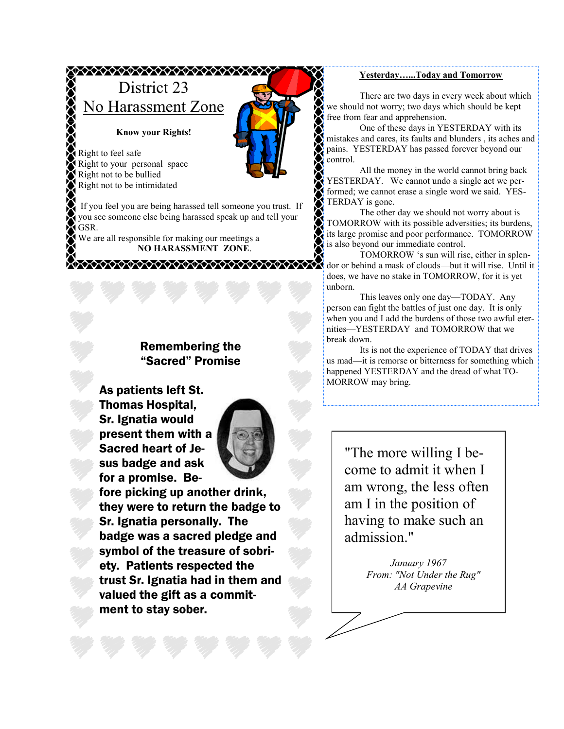## **XXXXXXXXXXXXXXXXXXXXX** District 23 No Harassment Zone

#### **Know your Rights!**

Right to feel safe Right to your personal space Right not to be bullied Right not to be intimidated

If you feel you are being harassed tell someone you trust. If you see someone else being harassed speak up and tell your GSR.

\*\*\*\*\*\*\*\*\*\*\*\*\*\*\*\*\*\*\*\*\*\*\*\*\*\*\*\*\*\*\*\*\*\*

We are all responsible for making our meetings a **NO HARASSMENT ZONE**.

## Remembering the "Sacred" Promise

As patients left St. Thomas Hospital, Sr. Ignatia would present them with a Sacred heart of Jesus badge and ask for a promise. Be-



fore picking up another drink, they were to return the badge to Sr. Ignatia personally. The badge was a sacred pledge and symbol of the treasure of sobriety. Patients respected the trust Sr. Ignatia had in them and valued the gift as a commitment to stay sober.

#### **Yesterday…...Today and Tomorrow**

There are two days in every week about which we should not worry; two days which should be kept free from fear and apprehension.

One of these days in YESTERDAY with its mistakes and cares, its faults and blunders , its aches and pains. YESTERDAY has passed forever beyond our control.

All the money in the world cannot bring back YESTERDAY. We cannot undo a single act we performed; we cannot erase a single word we said. YES-TERDAY is gone.

The other day we should not worry about is TOMORROW with its possible adversities; its burdens, its large promise and poor performance. TOMORROW is also beyond our immediate control.

TOMORROW 's sun will rise, either in splendor or behind a mask of clouds—but it will rise. Until it does, we have no stake in TOMORROW, for it is yet unborn.

This leaves only one day—TODAY. Any person can fight the battles of just one day. It is only when you and I add the burdens of those two awful eternities—YESTERDAY and TOMORROW that we break down.

Its is not the experience of TODAY that drives us mad—it is remorse or bitterness for something which happened YESTERDAY and the dread of what TO-MORROW may bring.

"The more willing I become to admit it when I am wrong, the less often am I in the position of having to make such an admission."

> *January 1967 From: "Not Under the Rug" AA Grapevine*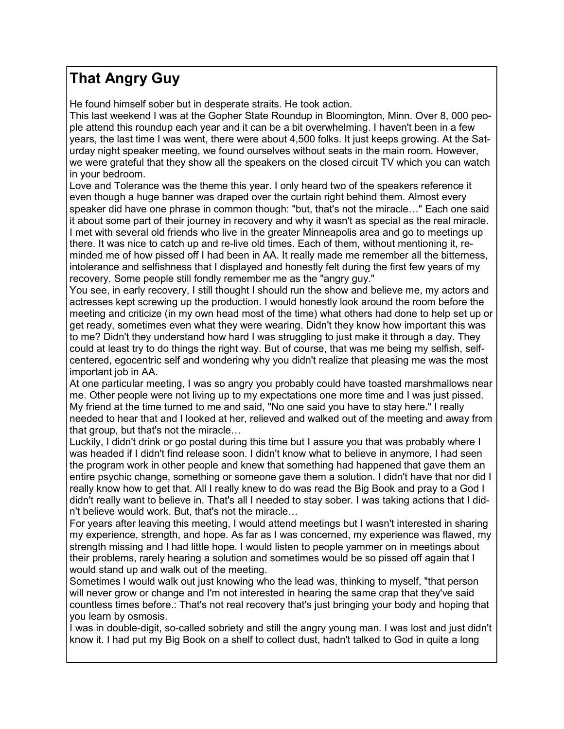## **That Angry Guy**

He found himself sober but in desperate straits. He took action.

This last weekend I was at the Gopher State Roundup in Bloomington, Minn. Over 8, 000 people attend this roundup each year and it can be a bit overwhelming. I haven't been in a few years, the last time I was went, there were about 4,500 folks. It just keeps growing. At the Saturday night speaker meeting, we found ourselves without seats in the main room. However, we were grateful that they show all the speakers on the closed circuit TV which you can watch in your bedroom.

Love and Tolerance was the theme this year. I only heard two of the speakers reference it even though a huge banner was draped over the curtain right behind them. Almost every speaker did have one phrase in common though: "but, that's not the miracle…" Each one said it about some part of their journey in recovery and why it wasn't as special as the real miracle. I met with several old friends who live in the greater Minneapolis area and go to meetings up there. It was nice to catch up and re-live old times. Each of them, without mentioning it, reminded me of how pissed off I had been in AA. It really made me remember all the bitterness, intolerance and selfishness that I displayed and honestly felt during the first few years of my recovery. Some people still fondly remember me as the "angry guy."

You see, in early recovery, I still thought I should run the show and believe me, my actors and actresses kept screwing up the production. I would honestly look around the room before the meeting and criticize (in my own head most of the time) what others had done to help set up or get ready, sometimes even what they were wearing. Didn't they know how important this was to me? Didn't they understand how hard I was struggling to just make it through a day. They could at least try to do things the right way. But of course, that was me being my selfish, selfcentered, egocentric self and wondering why you didn't realize that pleasing me was the most important job in AA.

At one particular meeting, I was so angry you probably could have toasted marshmallows near me. Other people were not living up to my expectations one more time and I was just pissed. My friend at the time turned to me and said, "No one said you have to stay here." I really needed to hear that and I looked at her, relieved and walked out of the meeting and away from that group, but that's not the miracle…

Luckily, I didn't drink or go postal during this time but I assure you that was probably where I was headed if I didn't find release soon. I didn't know what to believe in anymore, I had seen the program work in other people and knew that something had happened that gave them an entire psychic change, something or someone gave them a solution. I didn't have that nor did I really know how to get that. All I really knew to do was read the Big Book and pray to a God I didn't really want to believe in. That's all I needed to stay sober. I was taking actions that I didn't believe would work. But, that's not the miracle…

For years after leaving this meeting, I would attend meetings but I wasn't interested in sharing my experience, strength, and hope. As far as I was concerned, my experience was flawed, my strength missing and I had little hope. I would listen to people yammer on in meetings about their problems, rarely hearing a solution and sometimes would be so pissed off again that I would stand up and walk out of the meeting.

Sometimes I would walk out just knowing who the lead was, thinking to myself, "that person will never grow or change and I'm not interested in hearing the same crap that they've said countless times before.: That's not real recovery that's just bringing your body and hoping that you learn by osmosis.

I was in double-digit, so-called sobriety and still the angry young man. I was lost and just didn't know it. I had put my Big Book on a shelf to collect dust, hadn't talked to God in quite a long